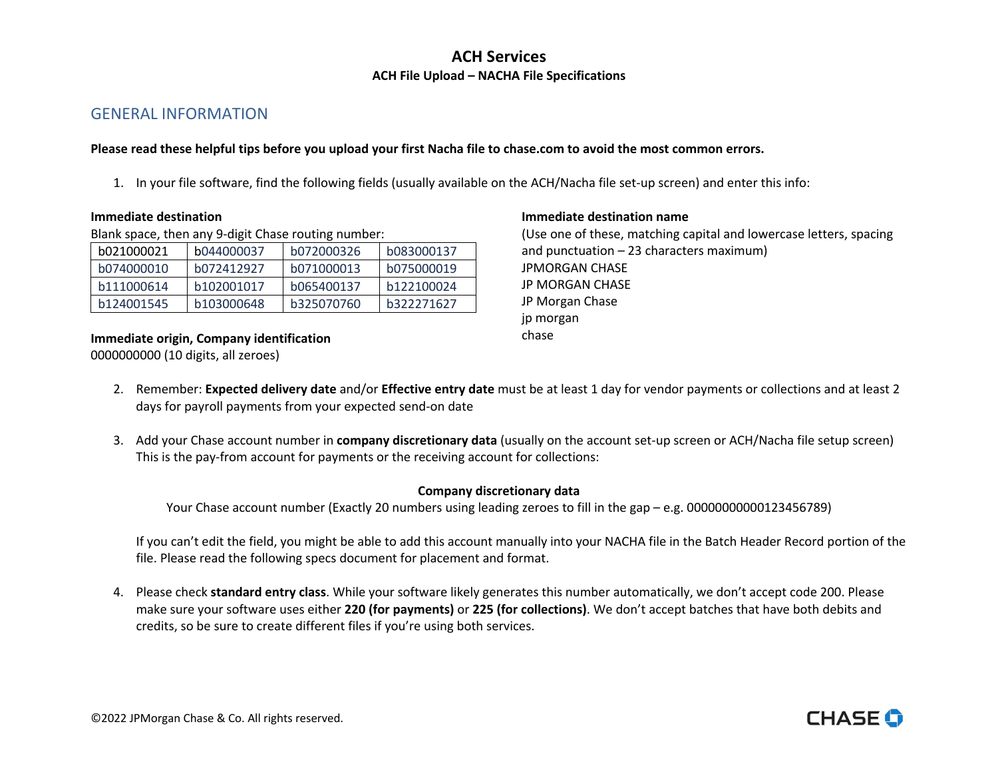## GENERAL INFORMATION

#### **Please read these helpful tips before you upload your first Nacha file to [chase.com](https://chase.com) to avoid the most common errors.**

1. In your file software, find the following fields (usually available on the ACH/Nacha file set-up screen) and enter this info:

Blank space, then any 9-digit Chase routing number:

| b021000021 | b044000037 | b072000326 | b083000137 |
|------------|------------|------------|------------|
| b074000010 | b072412927 | b071000013 | b075000019 |
| b111000614 | b102001017 | b065400137 | b122100024 |
| b124001545 | b103000648 | b325070760 | b322271627 |

 0000000000 (10 digits, all zeroes) **Immediate origin, Company identification Example 20 and Series 20 and Series 20 and Series 20 and Series 20 and Series 20 and Series 20 and Series 20 and Series 20 and Series 20 and Series 20 and Series 20 and Series 20** 

#### **Immediate destination immediate destination immediate destination name**

 JP MORGAN CHASE (Use one of these, matching capital and lowercase letters, spacing and punctuation – 23 characters maximum) JPMORGAN CHASE JP Morgan Chase jp morgan

**CHASE G** 

- 2. Remember: **Expected delivery date** and/or **Effective entry date** must be at least 1 day for vendor payments or collections and at least 2 days for payroll payments from your expected send-on date
- 3. Add your Chase account number in **company discretionary data** (usually on the account set-up screen or ACH/Nacha file setup screen) This is the pay-from account for payments or the receiving account for collections:

#### **Company discretionary data**

Your Chase account number (Exactly 20 numbers using leading zeroes to fill in the gap – e.g. 00000000000123456789)

 If you can't edit the field, you might be able to add this account manually into your NACHA file in the Batch Header Record portion of the file. Please read the following specs document for placement and format.

 make sure your software uses either **220 (for payments)** or **225 (for collections)**. We don't accept batches that have both debits and credits, so be sure to create different files if you're using both services. 4. Please check **standard entry class**. While your software likely generates this number automatically, we don't accept code 200. Please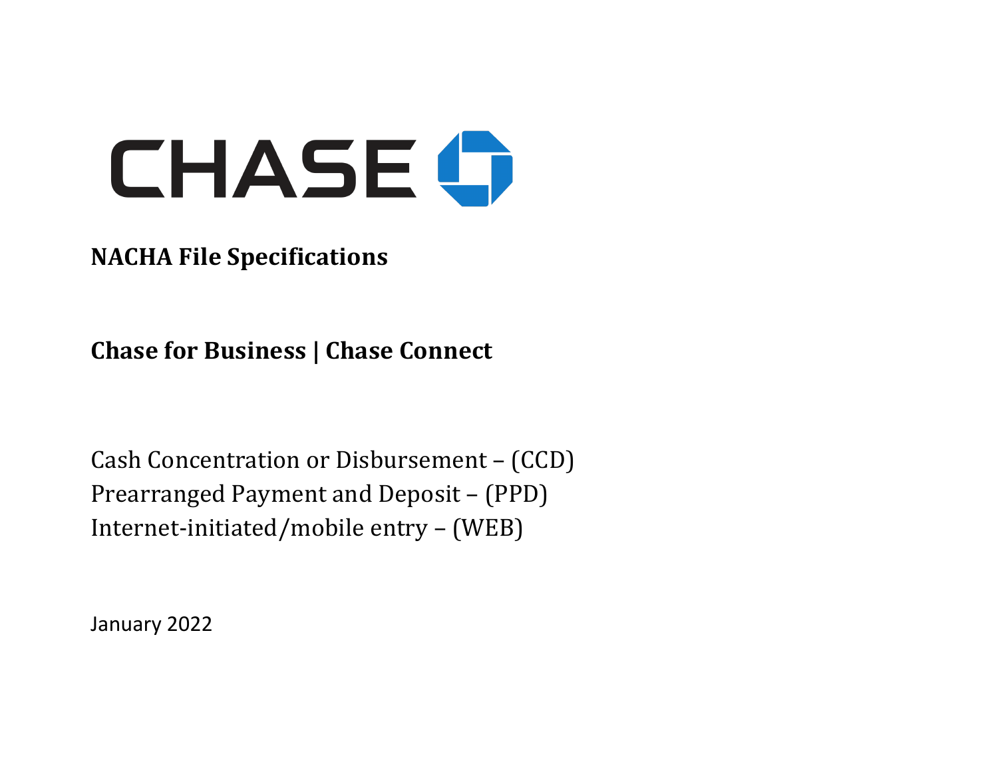

# **NACHA File Specifications**

 **Chase for Business | Chase Connect**

 Prearranged Payment and Deposit – (PPD) Internet-initiated/mobile entry - (WEB) Cash Concentration or Disbursement - (CCD)

January 2022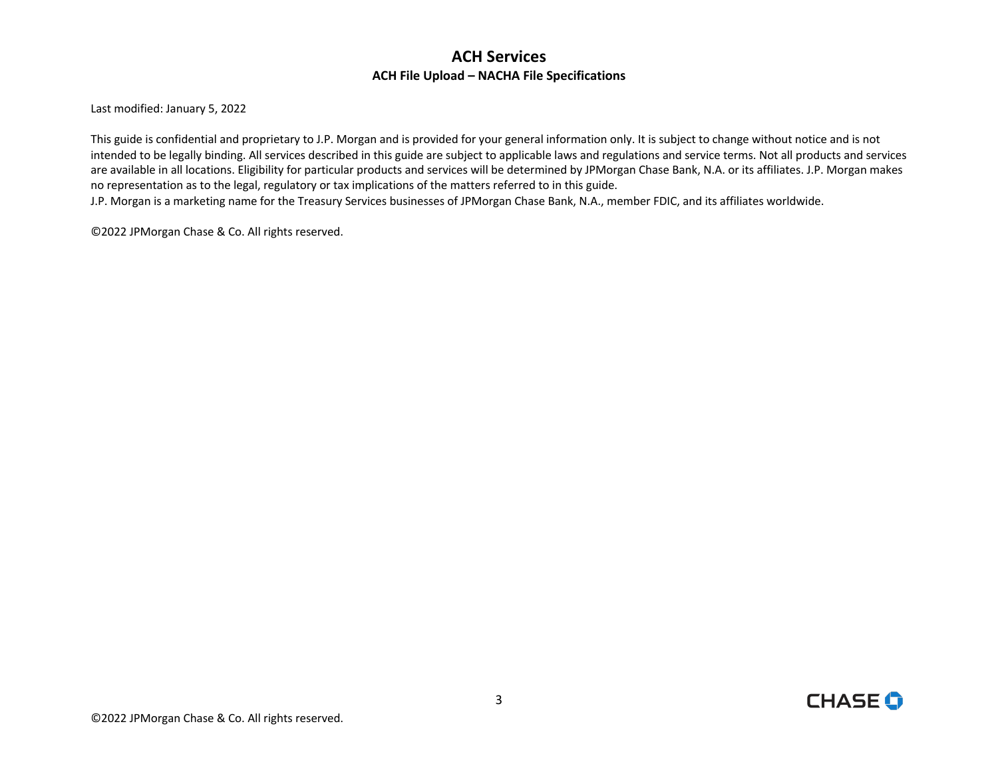Last modified: January 5, 2022

 This guide is confidential and proprietary to J.P. Morgan and is provided for your general information only. It is subject to change without notice and is not intended to be legally binding. All services described in this guide are subject to applicable laws and regulations and service terms. Not all products and services are available in all locations. Eligibility for particular products and services will be determined by JPMorgan Chase Bank, N.A. or its affiliates. J.P. Morgan makes no representation as to the legal, regulatory or tax implications of the matters referred to in this guide.

J.P. Morgan is a marketing name for the Treasury Services businesses of JPMorgan Chase Bank, N.A., member FDIC, and its affiliates worldwide.

©2022 JPMorgan Chase & Co. All rights reserved.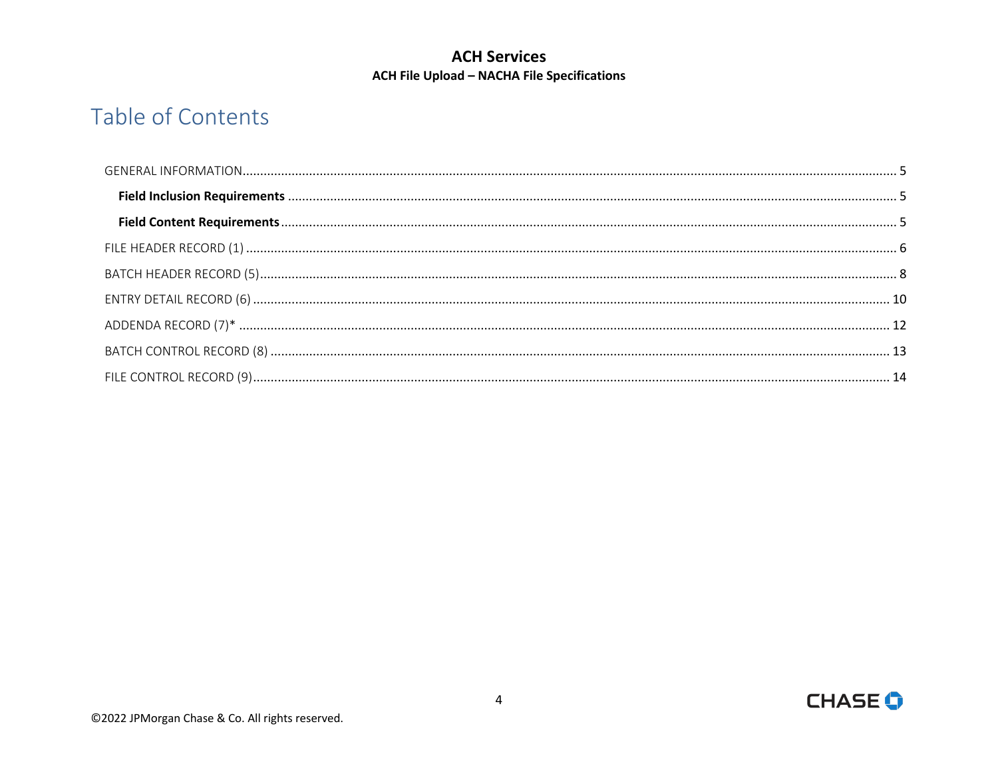# **ACH Services ACH File Upload - NACHA File Specifications**

# Table of Contents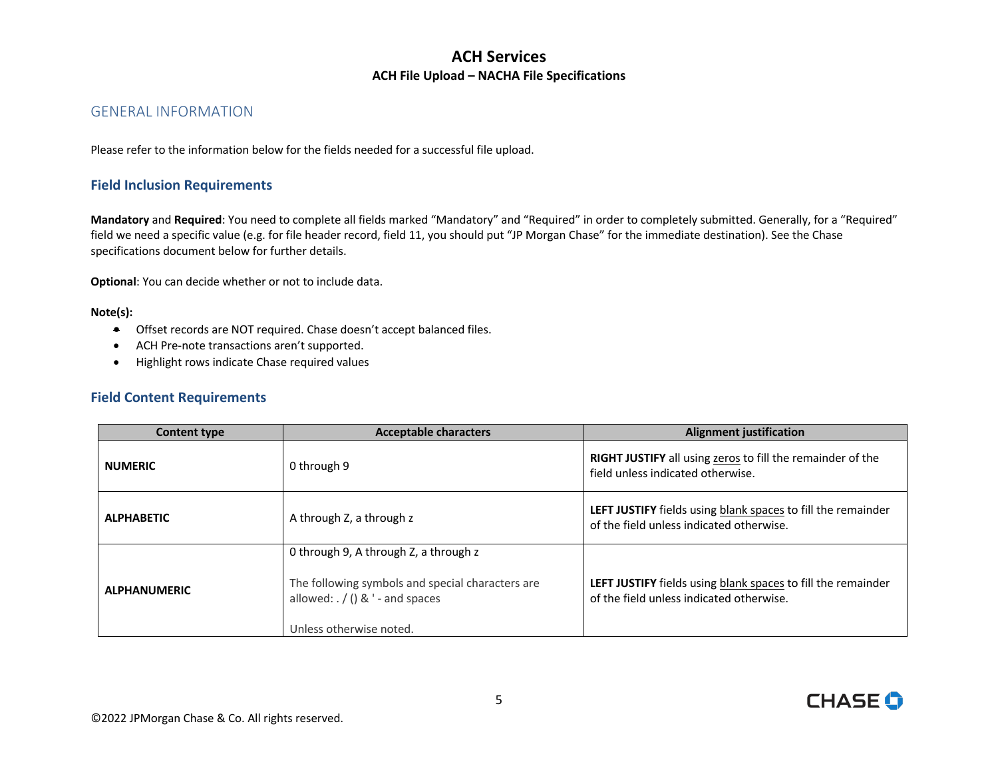#### <span id="page-4-0"></span>GENERAL INFORMATION

Please refer to the information below for the fields needed for a successful file upload.

#### <span id="page-4-1"></span>**Field Inclusion Requirements**

 **Mandatory** and **Required**: You need to complete all fields marked "Mandatory" and "Required" in order to completely submitted. Generally, for a "Required" field we need a specific value (e.g. for file header record, field 11, you should put "JP Morgan Chase" for the immediate destination). See the Chase specifications document below for further details.

**Optional**: You can decide whether or not to include data.

#### **Note(s):**

- **•** Offset records are NOT required. Chase doesn't accept balanced files.
- ACH Pre-note transactions aren't supported.
- Highlight rows indicate Chase required values

#### **Field Content Requirements**

| <b>Content type</b> | <b>Acceptable characters</b>                                                                                                                                       | <b>Alignment justification</b>                                                                                  |  |
|---------------------|--------------------------------------------------------------------------------------------------------------------------------------------------------------------|-----------------------------------------------------------------------------------------------------------------|--|
| <b>NUMERIC</b>      | 0 through 9                                                                                                                                                        | <b>RIGHT JUSTIFY</b> all using zeros to fill the remainder of the<br>field unless indicated otherwise.          |  |
| <b>ALPHABETIC</b>   | A through Z, a through z                                                                                                                                           | LEFT JUSTIFY fields using blank spaces to fill the remainder<br>of the field unless indicated otherwise.        |  |
| <b>ALPHANUMERIC</b> | 0 through 9, A through Z, a through z<br>The following symbols and special characters are<br>allowed: $\frac{1}{2}$ () & ' - and spaces<br>Unless otherwise noted. | <b>LEFT JUSTIFY</b> fields using blank spaces to fill the remainder<br>of the field unless indicated otherwise. |  |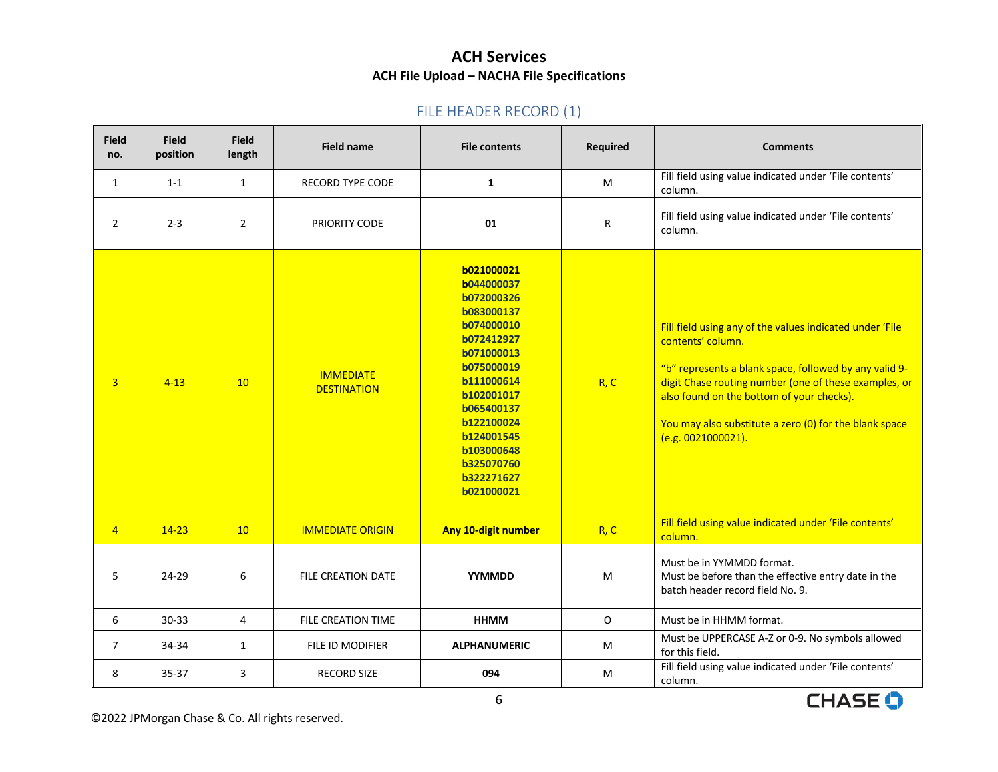# FILE HEADER RECORD (1)

<span id="page-5-0"></span>

| <b>Field</b><br>no. | <b>Field</b><br>position | <b>Field</b><br>length | <b>Field name</b>                      | <b>File contents</b>                                                                                                                                                                                                                       | Required     | <b>Comments</b>                                                                                                                                                                                                                                                                                                               |
|---------------------|--------------------------|------------------------|----------------------------------------|--------------------------------------------------------------------------------------------------------------------------------------------------------------------------------------------------------------------------------------------|--------------|-------------------------------------------------------------------------------------------------------------------------------------------------------------------------------------------------------------------------------------------------------------------------------------------------------------------------------|
| $\mathbf{1}$        | $1 - 1$                  | $\mathbf{1}$           | <b>RECORD TYPE CODE</b>                | 1                                                                                                                                                                                                                                          | M            | Fill field using value indicated under 'File contents'<br>column.                                                                                                                                                                                                                                                             |
| $\overline{2}$      | $2 - 3$                  | $\overline{2}$         | PRIORITY CODE                          | 01                                                                                                                                                                                                                                         | R            | Fill field using value indicated under 'File contents'<br>column.                                                                                                                                                                                                                                                             |
| $\overline{3}$      | $4 - 13$                 | 10                     | <b>IMMEDIATE</b><br><b>DESTINATION</b> | b021000021<br>b044000037<br>b072000326<br>b083000137<br>b074000010<br>b072412927<br>b071000013<br>b075000019<br>b111000614<br>b102001017<br>b065400137<br>b122100024<br>b124001545<br>b103000648<br>b325070760<br>b322271627<br>b021000021 | R, C         | Fill field using any of the values indicated under 'File<br>contents' column.<br>"b" represents a blank space, followed by any valid 9-<br>digit Chase routing number (one of these examples, or<br>also found on the bottom of your checks).<br>You may also substitute a zero (0) for the blank space<br>(e.g. 0021000021). |
| $\overline{4}$      | $14 - 23$                | 10                     | <b>IMMEDIATE ORIGIN</b>                | Any 10-digit number                                                                                                                                                                                                                        | R, C         | Fill field using value indicated under 'File contents'<br>column.                                                                                                                                                                                                                                                             |
| 5                   | 24-29                    | 6                      | FILE CREATION DATE                     | YYMMDD                                                                                                                                                                                                                                     | M            | Must be in YYMMDD format.<br>Must be before than the effective entry date in the<br>batch header record field No. 9.                                                                                                                                                                                                          |
| 6                   | $30 - 33$                | $\overline{4}$         | <b>FILE CREATION TIME</b>              | <b>HHMM</b>                                                                                                                                                                                                                                | $\mathsf{O}$ | Must be in HHMM format.                                                                                                                                                                                                                                                                                                       |
| $\overline{7}$      | 34-34                    | $\mathbf{1}$           | FILE ID MODIFIER                       | <b>ALPHANUMERIC</b>                                                                                                                                                                                                                        | M            | Must be UPPERCASE A-Z or 0-9. No symbols allowed<br>for this field.                                                                                                                                                                                                                                                           |
| 8                   | $35 - 37$                | 3                      | <b>RECORD SIZE</b>                     | 094                                                                                                                                                                                                                                        | М            | Fill field using value indicated under 'File contents'<br>column.                                                                                                                                                                                                                                                             |

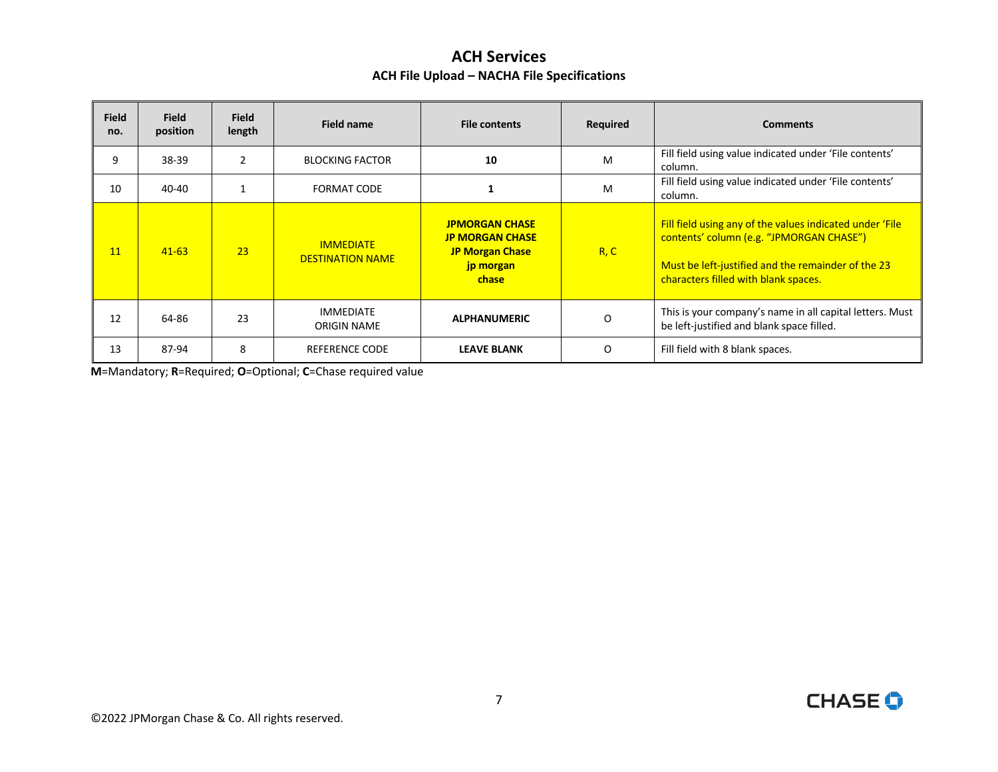| <b>Field</b><br>no. | <b>Field</b><br>position | <b>Field</b><br>length | <b>Field name</b>                           | <b>File contents</b>                                                                            | Required | <b>Comments</b>                                                                                                                                                                                    |
|---------------------|--------------------------|------------------------|---------------------------------------------|-------------------------------------------------------------------------------------------------|----------|----------------------------------------------------------------------------------------------------------------------------------------------------------------------------------------------------|
| 9                   | 38-39                    | $\overline{2}$         | <b>BLOCKING FACTOR</b>                      | 10                                                                                              | M        | Fill field using value indicated under 'File contents'<br>column.                                                                                                                                  |
| 10                  | 40-40                    |                        | <b>FORMAT CODE</b>                          |                                                                                                 | M        | Fill field using value indicated under 'File contents'<br>column.                                                                                                                                  |
| 11                  | $41 - 63$                | 23                     | <b>IMMEDIATE</b><br><b>DESTINATION NAME</b> | <b>JPMORGAN CHASE</b><br><b>JP MORGAN CHASE</b><br><b>JP Morgan Chase</b><br>jp morgan<br>chase | R, C     | Fill field using any of the values indicated under 'File<br>contents' column (e.g. "JPMORGAN CHASE")<br>Must be left-justified and the remainder of the 23<br>characters filled with blank spaces. |
| 12                  | 64-86                    | 23                     | <b>IMMEDIATE</b><br><b>ORIGIN NAME</b>      | <b>ALPHANUMERIC</b>                                                                             | O        | This is your company's name in all capital letters. Must<br>be left-justified and blank space filled.                                                                                              |
| 13                  | 87-94                    | 8                      | REFERENCE CODE                              | <b>LEAVE BLANK</b>                                                                              | 0        | Fill field with 8 blank spaces.                                                                                                                                                                    |

**M**=Mandatory; **R**=Required; **O**=Optional; **C**=Chase required value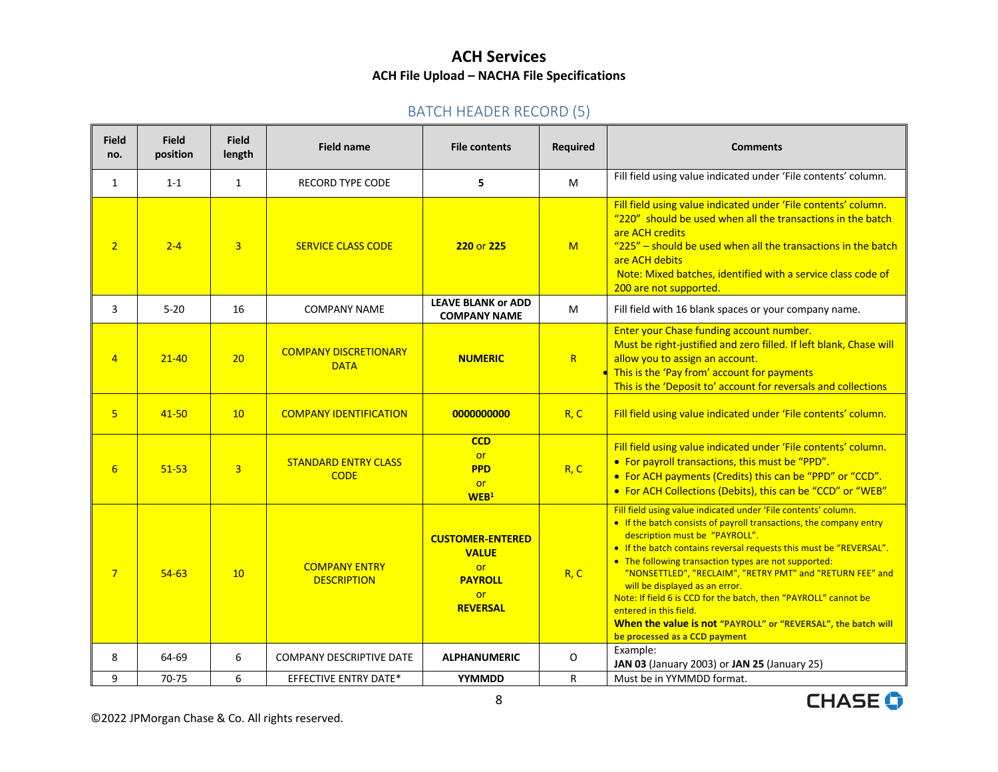## BATCH HEADER RECORD (5)

<span id="page-7-0"></span>

| <b>Field</b><br>no. | <b>Field</b><br>position | <b>Field</b><br>length | <b>Field name</b>                           | <b>File contents</b>                                                                                   | <b>Required</b> | <b>Comments</b>                                                                                                                                                                                                                                                                                                                                                                                                                                                                                                                                                                                    |
|---------------------|--------------------------|------------------------|---------------------------------------------|--------------------------------------------------------------------------------------------------------|-----------------|----------------------------------------------------------------------------------------------------------------------------------------------------------------------------------------------------------------------------------------------------------------------------------------------------------------------------------------------------------------------------------------------------------------------------------------------------------------------------------------------------------------------------------------------------------------------------------------------------|
| 1                   | $1 - 1$                  | $\mathbf{1}$           | <b>RECORD TYPE CODE</b>                     | 5                                                                                                      | M               | Fill field using value indicated under 'File contents' column.                                                                                                                                                                                                                                                                                                                                                                                                                                                                                                                                     |
| $\overline{2}$      | $2 - 4$                  | $\overline{3}$         | <b>SERVICE CLASS CODE</b>                   | 220 or 225                                                                                             | M               | Fill field using value indicated under 'File contents' column.<br>"220" should be used when all the transactions in the batch<br>are ACH credits<br>"225" - should be used when all the transactions in the batch<br>are ACH debits<br>Note: Mixed batches, identified with a service class code of<br>200 are not supported.                                                                                                                                                                                                                                                                      |
| 3                   | $5 - 20$                 | 16                     | <b>COMPANY NAME</b>                         | <b>LEAVE BLANK or ADD</b><br><b>COMPANY NAME</b>                                                       | M               | Fill field with 16 blank spaces or your company name.                                                                                                                                                                                                                                                                                                                                                                                                                                                                                                                                              |
| $\overline{4}$      | $21 - 40$                | 20                     | <b>COMPANY DISCRETIONARY</b><br><b>DATA</b> | <b>NUMERIC</b>                                                                                         | R               | Enter your Chase funding account number.<br>Must be right-justified and zero filled. If left blank, Chase will<br>allow you to assign an account.<br>This is the 'Pay from' account for payments<br>This is the 'Deposit to' account for reversals and collections                                                                                                                                                                                                                                                                                                                                 |
| 5 <sup>1</sup>      | $41 - 50$                | 10                     | <b>COMPANY IDENTIFICATION</b>               | 0000000000                                                                                             | R, C            | Fill field using value indicated under 'File contents' column.                                                                                                                                                                                                                                                                                                                                                                                                                                                                                                                                     |
| 6                   | $51 - 53$                | $\overline{3}$         | <b>STANDARD ENTRY CLASS</b><br><b>CODE</b>  | <b>CCD</b><br><b>or</b><br><b>PPD</b><br><b>or</b><br>WEB <sup>1</sup>                                 | R, C            | Fill field using value indicated under 'File contents' column.<br>• For payroll transactions, this must be "PPD".<br>• For ACH payments (Credits) this can be "PPD" or "CCD".<br>• For ACH Collections (Debits), this can be "CCD" or "WEB"                                                                                                                                                                                                                                                                                                                                                        |
| $\overline{7}$      | $54-63$                  | 10                     | <b>COMPANY ENTRY</b><br><b>DESCRIPTION</b>  | <b>CUSTOMER-ENTERED</b><br><b>VALUE</b><br><b>or</b><br><b>PAYROLL</b><br><b>or</b><br><b>REVERSAL</b> | R, C            | Fill field using value indicated under 'File contents' column.<br>• If the batch consists of payroll transactions, the company entry<br>description must be "PAYROLL".<br>• If the batch contains reversal requests this must be "REVERSAL".<br>• The following transaction types are not supported:<br>"NONSETTLED", "RECLAIM", "RETRY PMT" and "RETURN FEE" and<br>will be displayed as an error.<br>Note: If field 6 is CCD for the batch, then "PAYROLL" cannot be<br>entered in this field.<br>When the value is not "PAYROLL" or "REVERSAL", the batch will<br>be processed as a CCD payment |
| 8                   | 64-69                    | 6                      | <b>COMPANY DESCRIPTIVE DATE</b>             | <b>ALPHANUMERIC</b>                                                                                    | O               | Example:<br>JAN 03 (January 2003) or JAN 25 (January 25)                                                                                                                                                                                                                                                                                                                                                                                                                                                                                                                                           |
| 9                   | 70-75                    | 6                      | <b>EFFECTIVE ENTRY DATE*</b>                | YYMMDD                                                                                                 | R               | Must be in YYMMDD format.                                                                                                                                                                                                                                                                                                                                                                                                                                                                                                                                                                          |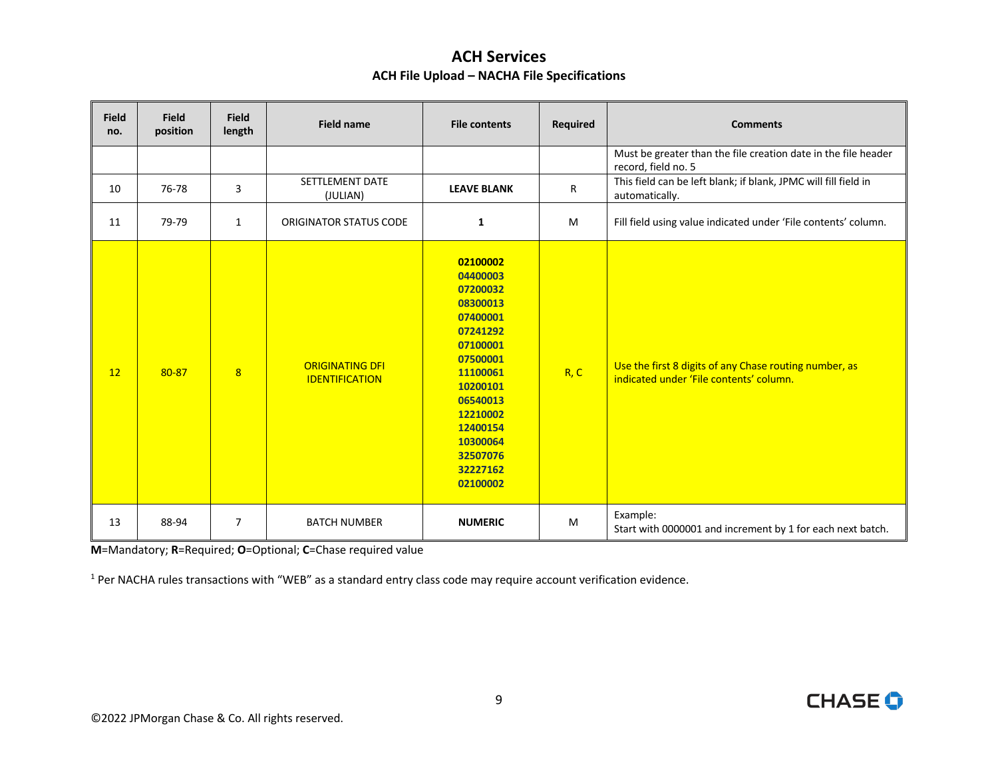| <b>Field</b><br>no. | <b>Field</b><br>position | <b>Field</b><br>length | <b>Field name</b>                               | <b>File contents</b>                                                                                                                                                                                     | Required | <b>Comments</b>                                                                                   |
|---------------------|--------------------------|------------------------|-------------------------------------------------|----------------------------------------------------------------------------------------------------------------------------------------------------------------------------------------------------------|----------|---------------------------------------------------------------------------------------------------|
|                     |                          |                        |                                                 |                                                                                                                                                                                                          |          | Must be greater than the file creation date in the file header<br>record, field no. 5             |
| 10                  | 76-78                    | 3                      | SETTLEMENT DATE<br>(JULIAN)                     | <b>LEAVE BLANK</b>                                                                                                                                                                                       | R        | This field can be left blank; if blank, JPMC will fill field in<br>automatically.                 |
| 11                  | 79-79                    | $\mathbf{1}$           | ORIGINATOR STATUS CODE                          | $\mathbf{1}$                                                                                                                                                                                             | M        | Fill field using value indicated under 'File contents' column.                                    |
| 12                  | 80-87                    | 8                      | <b>ORIGINATING DFI</b><br><b>IDENTIFICATION</b> | 02100002<br>04400003<br>07200032<br>08300013<br>07400001<br>07241292<br>07100001<br>07500001<br>11100061<br>10200101<br>06540013<br>12210002<br>12400154<br>10300064<br>32507076<br>32227162<br>02100002 | R, C     | Use the first 8 digits of any Chase routing number, as<br>indicated under 'File contents' column. |
| 13                  | 88-94                    | $\overline{7}$         | <b>BATCH NUMBER</b>                             | <b>NUMERIC</b>                                                                                                                                                                                           | M        | Example:<br>Start with 0000001 and increment by 1 for each next batch.                            |

**M**=Mandatory; **R**=Required; **O**=Optional; **C**=Chase required value

 $1$  Per NACHA rules transactions with "WEB" as a standard entry class code may require account verification evidence.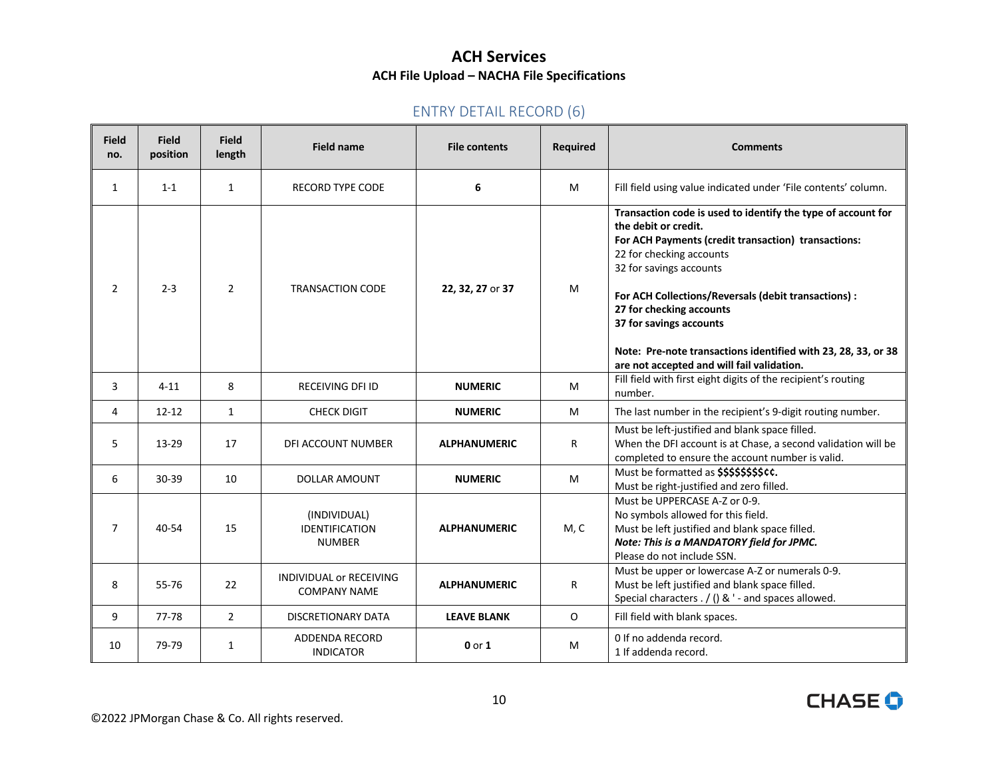# ENTRY DETAIL RECORD (6)

<span id="page-9-0"></span>

| <b>Field</b><br>no. | <b>Field</b><br>position | <b>Field</b><br>length | <b>Field name</b>                                      | <b>File contents</b> | Required     | <b>Comments</b>                                                                                                                                                                                                                                                                                                                                                                                                                  |
|---------------------|--------------------------|------------------------|--------------------------------------------------------|----------------------|--------------|----------------------------------------------------------------------------------------------------------------------------------------------------------------------------------------------------------------------------------------------------------------------------------------------------------------------------------------------------------------------------------------------------------------------------------|
| 1                   | $1 - 1$                  | $\mathbf{1}$           | <b>RECORD TYPE CODE</b>                                | 6                    | M            | Fill field using value indicated under 'File contents' column.                                                                                                                                                                                                                                                                                                                                                                   |
| $\overline{2}$      | $2 - 3$                  | $\overline{2}$         | <b>TRANSACTION CODE</b>                                | 22, 32, 27 or 37     | M            | Transaction code is used to identify the type of account for<br>the debit or credit.<br>For ACH Payments (credit transaction) transactions:<br>22 for checking accounts<br>32 for savings accounts<br>For ACH Collections/Reversals (debit transactions) :<br>27 for checking accounts<br>37 for savings accounts<br>Note: Pre-note transactions identified with 23, 28, 33, or 38<br>are not accepted and will fail validation. |
| 3                   | $4 - 11$                 | 8                      | <b>RECEIVING DFI ID</b>                                | <b>NUMERIC</b>       | M            | Fill field with first eight digits of the recipient's routing<br>number.                                                                                                                                                                                                                                                                                                                                                         |
| 4                   | $12 - 12$                | $\mathbf{1}$           | <b>CHECK DIGIT</b>                                     | <b>NUMERIC</b>       | M            | The last number in the recipient's 9-digit routing number.                                                                                                                                                                                                                                                                                                                                                                       |
| 5                   | 13-29                    | 17                     | DFI ACCOUNT NUMBER                                     | <b>ALPHANUMERIC</b>  | R            | Must be left-justified and blank space filled.<br>When the DFI account is at Chase, a second validation will be<br>completed to ensure the account number is valid.                                                                                                                                                                                                                                                              |
| 6                   | 30-39                    | 10                     | DOLLAR AMOUNT                                          | <b>NUMERIC</b>       | M            | Must be formatted as \$\$\$\$\$\$\$\$\$cc.<br>Must be right-justified and zero filled.                                                                                                                                                                                                                                                                                                                                           |
| $\overline{7}$      | 40-54                    | 15                     | (INDIVIDUAL)<br><b>IDENTIFICATION</b><br><b>NUMBER</b> | <b>ALPHANUMERIC</b>  | M, C         | Must be UPPERCASE A-Z or 0-9.<br>No symbols allowed for this field.<br>Must be left justified and blank space filled.<br>Note: This is a MANDATORY field for JPMC.<br>Please do not include SSN.                                                                                                                                                                                                                                 |
| 8                   | 55-76                    | 22                     | <b>INDIVIDUAL or RECEIVING</b><br><b>COMPANY NAME</b>  | <b>ALPHANUMERIC</b>  | $\mathsf{R}$ | Must be upper or lowercase A-Z or numerals 0-9.<br>Must be left justified and blank space filled.<br>Special characters . / () & ' - and spaces allowed.                                                                                                                                                                                                                                                                         |
| 9                   | 77-78                    | $\overline{2}$         | DISCRETIONARY DATA                                     | <b>LEAVE BLANK</b>   | 0            | Fill field with blank spaces.                                                                                                                                                                                                                                                                                                                                                                                                    |
| 10                  | 79-79                    | $\mathbf{1}$           | <b>ADDENDA RECORD</b><br><b>INDICATOR</b>              | $0$ or $1$           | м            | 0 If no addenda record.<br>1 If addenda record.                                                                                                                                                                                                                                                                                                                                                                                  |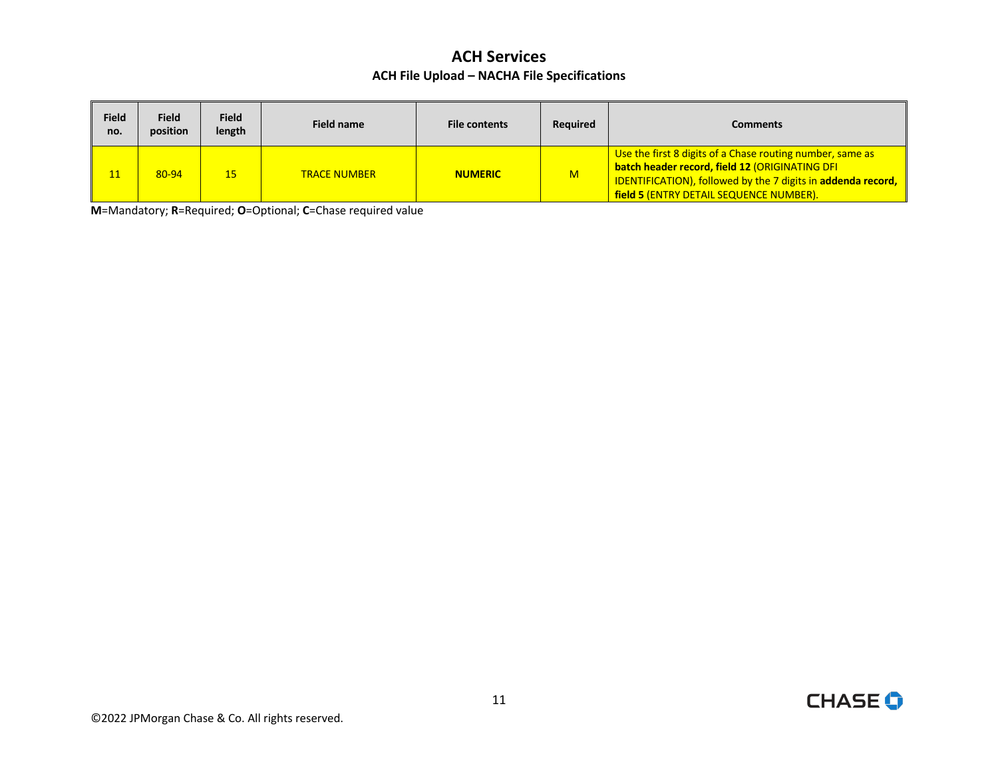| <b>Field</b><br>no. | <b>Field</b><br>position | <b>Field</b><br>length | Field name          | <b>File contents</b> | <b>Required</b> | <b>Comments</b>                                                                                                                                                                                                          |
|---------------------|--------------------------|------------------------|---------------------|----------------------|-----------------|--------------------------------------------------------------------------------------------------------------------------------------------------------------------------------------------------------------------------|
|                     | 80-94                    | 15                     | <b>TRACE NUMBER</b> | <b>NUMERIC</b>       | M               | Use the first 8 digits of a Chase routing number, same as<br>batch header record, field 12 (ORIGINATING DFI<br>  IDENTIFICATION), followed by the 7 digits in addenda record,<br>field 5 (ENTRY DETAIL SEQUENCE NUMBER). |

**M**=Mandatory; **R**=Required; **O**=Optional; **C**=Chase required value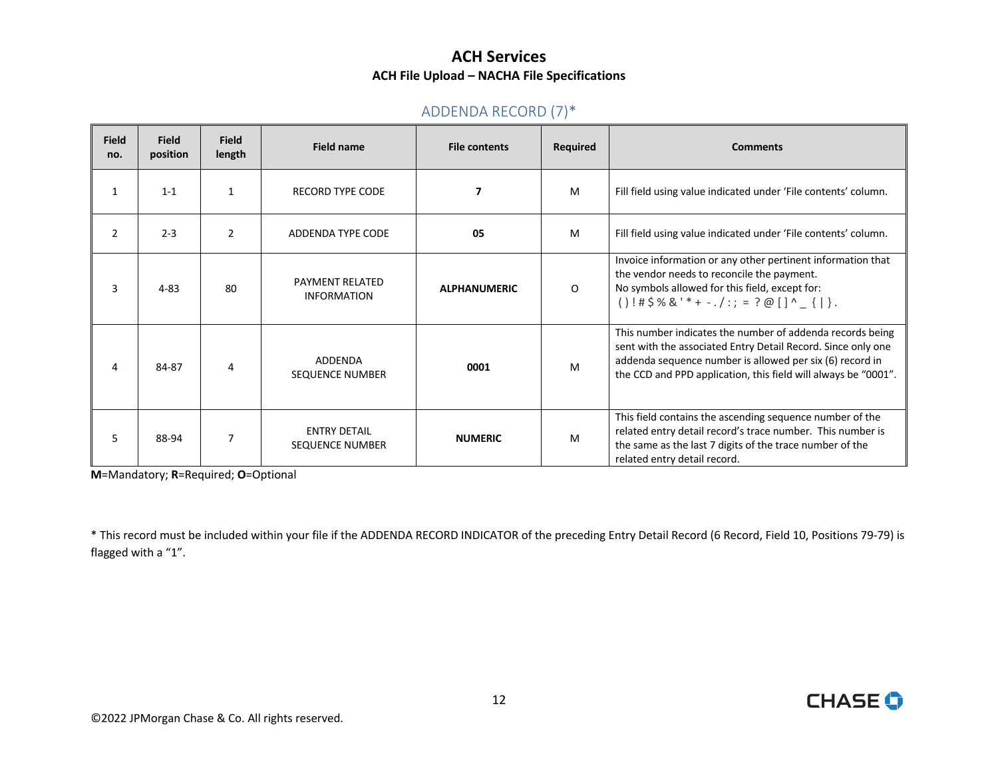#### ADDENDA RECORD (7)\*

<span id="page-11-0"></span>

| <b>Field</b><br>no. | <b>Field</b><br>position | <b>Field</b><br>length | <b>Field name</b>                             | <b>File contents</b> | Required | <b>Comments</b>                                                                                                                                                                                                                                         |
|---------------------|--------------------------|------------------------|-----------------------------------------------|----------------------|----------|---------------------------------------------------------------------------------------------------------------------------------------------------------------------------------------------------------------------------------------------------------|
| 1                   | $1 - 1$                  | $\mathbf{1}$           | <b>RECORD TYPE CODE</b>                       | 7                    | M        | Fill field using value indicated under 'File contents' column.                                                                                                                                                                                          |
| 2                   | $2 - 3$                  | $\overline{2}$         | ADDENDA TYPE CODE                             | 05                   | M        | Fill field using value indicated under 'File contents' column.                                                                                                                                                                                          |
| 3                   | $4 - 83$                 | 80                     | <b>PAYMENT RELATED</b><br><b>INFORMATION</b>  | <b>ALPHANUMERIC</b>  | O        | Invoice information or any other pertinent information that<br>the vendor needs to reconcile the payment.<br>No symbols allowed for this field, except for:<br>$()$ !#\$%&'*+ -./:; = ?@[]^_{ }.                                                        |
| 4                   | 84-87                    | 4                      | ADDENDA<br><b>SEQUENCE NUMBER</b>             | 0001                 | M        | This number indicates the number of addenda records being<br>sent with the associated Entry Detail Record. Since only one<br>addenda sequence number is allowed per six (6) record in<br>the CCD and PPD application, this field will always be "0001". |
| 5.                  | 88-94                    |                        | <b>ENTRY DETAIL</b><br><b>SEQUENCE NUMBER</b> | <b>NUMERIC</b>       | M        | This field contains the ascending sequence number of the<br>related entry detail record's trace number. This number is<br>the same as the last 7 digits of the trace number of the<br>related entry detail record.                                      |

**M**=Mandatory; **R**=Required; **O**=Optional

 \* This record must be included within your file if the ADDENDA RECORD INDICATOR of the preceding Entry Detail Record (6 Record, Field 10, Positions 79-79) is flagged with a "1".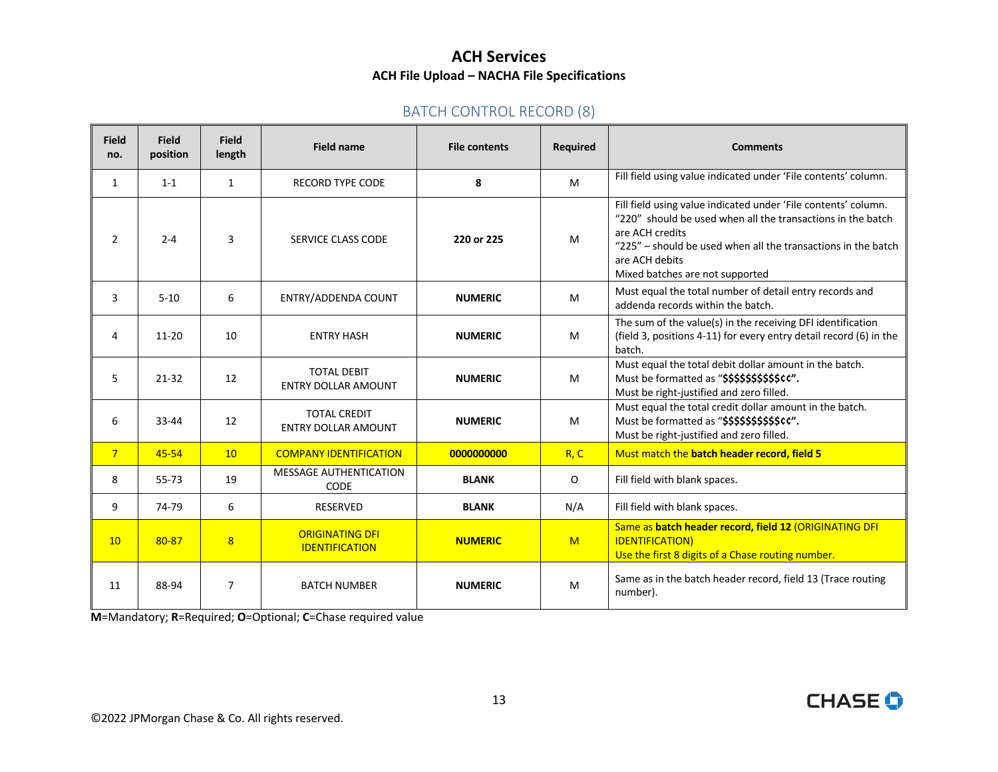#### BATCH CONTROL RECORD (8)

<span id="page-12-0"></span>

| <b>Field</b><br>no. | <b>Field</b><br>position | <b>Field</b><br>length | <b>Field name</b>                                 | <b>File contents</b> | Required | <b>Comments</b>                                                                                                                                                                                                                                                        |
|---------------------|--------------------------|------------------------|---------------------------------------------------|----------------------|----------|------------------------------------------------------------------------------------------------------------------------------------------------------------------------------------------------------------------------------------------------------------------------|
| $\mathbf{1}$        | $1 - 1$                  | $\mathbf{1}$           | <b>RECORD TYPE CODE</b>                           | 8                    | M        | Fill field using value indicated under 'File contents' column.                                                                                                                                                                                                         |
| 2                   | $2 - 4$                  | 3                      | SERVICE CLASS CODE                                | 220 or 225           | M        | Fill field using value indicated under 'File contents' column.<br>"220" should be used when all the transactions in the batch<br>are ACH credits<br>"225" – should be used when all the transactions in the batch<br>are ACH debits<br>Mixed batches are not supported |
| 3                   | $5 - 10$                 | 6                      | ENTRY/ADDENDA COUNT                               | <b>NUMERIC</b>       | M        | Must equal the total number of detail entry records and<br>addenda records within the batch.                                                                                                                                                                           |
| 4                   | $11 - 20$                | 10                     | <b>ENTRY HASH</b>                                 | <b>NUMERIC</b>       | M        | The sum of the value(s) in the receiving DFI identification<br>(field 3, positions 4-11) for every entry detail record (6) in the<br>batch.                                                                                                                            |
| 5                   | $21 - 32$                | 12                     | <b>TOTAL DEBIT</b><br><b>ENTRY DOLLAR AMOUNT</b>  | <b>NUMERIC</b>       | M        | Must equal the total debit dollar amount in the batch.<br>Must be formatted as "\$\$\$\$\$\$\$\$\$\$\$cc".<br>Must be right-justified and zero filled.                                                                                                                 |
| 6                   | $33 - 44$                | 12                     | <b>TOTAL CREDIT</b><br><b>ENTRY DOLLAR AMOUNT</b> | <b>NUMERIC</b>       | M        | Must equal the total credit dollar amount in the batch.<br>Must be formatted as "\$\$\$\$\$\$\$\$\$\$\$cc".<br>Must be right-justified and zero filled.                                                                                                                |
| 7 <sup>7</sup>      | 45-54                    | 10                     | <b>COMPANY IDENTIFICATION</b>                     | 0000000000           | R, C     | Must match the batch header record, field 5                                                                                                                                                                                                                            |
| 8                   | 55-73                    | 19                     | MESSAGE AUTHENTICATION<br><b>CODE</b>             | <b>BLANK</b>         | 0        | Fill field with blank spaces.                                                                                                                                                                                                                                          |
| 9                   | 74-79                    | 6                      | <b>RESERVED</b>                                   | <b>BLANK</b>         | N/A      | Fill field with blank spaces.                                                                                                                                                                                                                                          |
| 10                  | 80-87                    | 8                      | <b>ORIGINATING DFI</b><br><b>IDENTIFICATION</b>   | <b>NUMERIC</b>       | M        | Same as batch header record, field 12 (ORIGINATING DFI<br><b>IDENTIFICATION)</b><br>Use the first 8 digits of a Chase routing number.                                                                                                                                  |
| 11                  | 88-94                    | $\overline{7}$         | <b>BATCH NUMBER</b>                               | <b>NUMERIC</b>       | M        | Same as in the batch header record, field 13 (Trace routing<br>number).                                                                                                                                                                                                |

**M**=Mandatory; **R**=Required; **O**=Optional; **C**=Chase required value